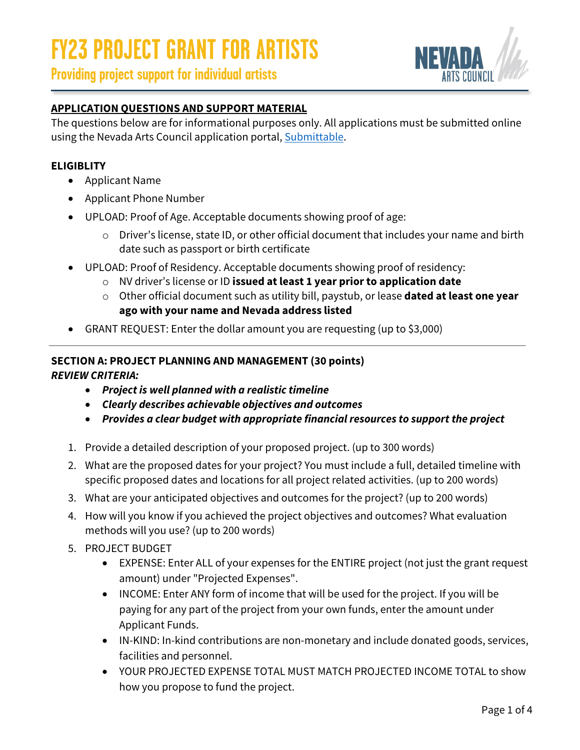



#### **APPLICATION QUESTIONS AND SUPPORT MATERIAL**

The questions below are for informational purposes only. All applications must be submitted online using the Nevada Arts Council application portal, [Submittable.](https://nevadaartscouncil.submittable.com/submit)

#### **ELIGIBLITY**

- Applicant Name
- Applicant Phone Number
- UPLOAD: Proof of Age. Acceptable documents showing proof of age:
	- o Driver's license, state ID, or other official document that includes your name and birth date such as passport or birth certificate
- UPLOAD: Proof of Residency. Acceptable documents showing proof of residency:
	- o NV driver's license or ID **issued at least 1 year prior to application date**
	- o Other official document such as utility bill, paystub, or lease **dated at least one year ago with your name and Nevada address listed**
- GRANT REQUEST: Enter the dollar amount you are requesting (up to \$3,000)

#### **SECTION A: PROJECT PLANNING AND MANAGEMENT (30 points)** *REVIEW CRITERIA:*

- *Project is well planned with a realistic timeline*
- *Clearly describes achievable objectives and outcomes*
- *Provides a clear budget with appropriate financial resources to support the project*
- 1. Provide a detailed description of your proposed project. (up to 300 words)
- 2. What are the proposed dates for your project? You must include a full, detailed timeline with specific proposed dates and locations for all project related activities. (up to 200 words)
- 3. What are your anticipated objectives and outcomes for the project? (up to 200 words)
- 4. How will you know if you achieved the project objectives and outcomes? What evaluation methods will you use? (up to 200 words)
- 5. PROJECT BUDGET
	- EXPENSE: Enter ALL of your expenses for the ENTIRE project (not just the grant request amount) under "Projected Expenses".
	- INCOME: Enter ANY form of income that will be used for the project. If you will be paying for any part of the project from your own funds, enter the amount under Applicant Funds.
	- IN-KIND: In-kind contributions are non-monetary and include donated goods, services, facilities and personnel.
	- YOUR PROJECTED EXPENSE TOTAL MUST MATCH PROJECTED INCOME TOTAL to show how you propose to fund the project.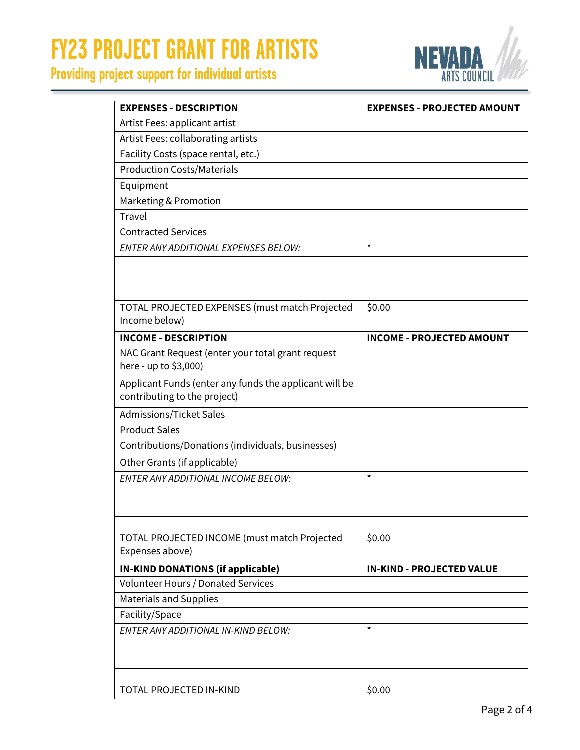# **FY23 PROJECT GRANT FOR ARTISTS**

## **Providing project support for individual artists**



| <b>EXPENSES - DESCRIPTION</b>                          | <b>EXPENSES - PROJECTED AMOUNT</b> |
|--------------------------------------------------------|------------------------------------|
| Artist Fees: applicant artist                          |                                    |
| Artist Fees: collaborating artists                     |                                    |
| Facility Costs (space rental, etc.)                    |                                    |
| <b>Production Costs/Materials</b>                      |                                    |
| Equipment                                              |                                    |
| Marketing & Promotion                                  |                                    |
| <b>Travel</b>                                          |                                    |
| <b>Contracted Services</b>                             |                                    |
| <b>ENTER ANY ADDITIONAL EXPENSES BELOW:</b>            | $\star$                            |
|                                                        |                                    |
|                                                        |                                    |
|                                                        |                                    |
| TOTAL PROJECTED EXPENSES (must match Projected         | \$0.00                             |
| Income below)                                          |                                    |
| <b>INCOME - DESCRIPTION</b>                            | <b>INCOME - PROJECTED AMOUNT</b>   |
| NAC Grant Request (enter your total grant request      |                                    |
| here - up to \$3,000)                                  |                                    |
| Applicant Funds (enter any funds the applicant will be |                                    |
| contributing to the project)                           |                                    |
| <b>Admissions/Ticket Sales</b>                         |                                    |
| <b>Product Sales</b>                                   |                                    |
| Contributions/Donations (individuals, businesses)      |                                    |
| Other Grants (if applicable)                           |                                    |
| <b>ENTER ANY ADDITIONAL INCOME BELOW:</b>              | $\star$                            |
|                                                        |                                    |
|                                                        |                                    |
|                                                        |                                    |
| TOTAL PROJECTED INCOME (must match Projected           | \$0.00                             |
| Expenses above)                                        |                                    |
| <b>IN-KIND DONATIONS (if applicable)</b>               | <b>IN-KIND - PROJECTED VALUE</b>   |
| Volunteer Hours / Donated Services                     |                                    |
| <b>Materials and Supplies</b>                          |                                    |
| Facility/Space                                         |                                    |
| ENTER ANY ADDITIONAL IN-KIND BELOW:                    | $\star$                            |
|                                                        |                                    |
|                                                        |                                    |
|                                                        |                                    |
| TOTAL PROJECTED IN-KIND                                | \$0.00                             |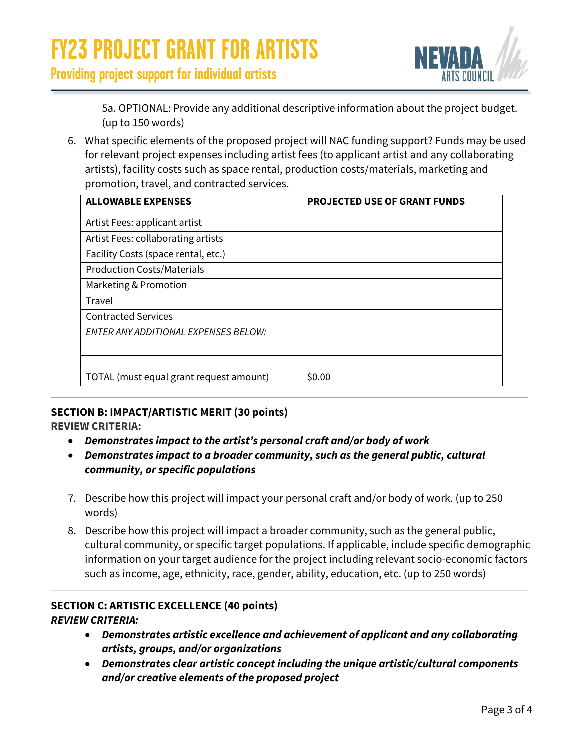

**Providing project support for individual artists**

5a. OPTIONAL: Provide any additional descriptive information about the project budget. (up to 150 words)

6. What specific elements of the proposed project will NAC funding support? Funds may be used for relevant project expenses including artist fees (to applicant artist and any collaborating artists), facility costs such as space rental, production costs/materials, marketing and promotion, travel, and contracted services.

| <b>ALLOWABLE EXPENSES</b>               | <b>PROJECTED USE OF GRANT FUNDS</b> |
|-----------------------------------------|-------------------------------------|
| Artist Fees: applicant artist           |                                     |
| Artist Fees: collaborating artists      |                                     |
| Facility Costs (space rental, etc.)     |                                     |
| <b>Production Costs/Materials</b>       |                                     |
| Marketing & Promotion                   |                                     |
| Travel                                  |                                     |
| <b>Contracted Services</b>              |                                     |
| ENTER ANY ADDITIONAL EXPENSES BELOW:    |                                     |
|                                         |                                     |
|                                         |                                     |
| TOTAL (must equal grant request amount) | \$0.00                              |

### **SECTION B: IMPACT/ARTISTIC MERIT (30 points)**

#### **REVIEW CRITERIA:**

- *Demonstrates impact to the artist's personal craft and/or body of work*
- *Demonstrates impact to a broader community, such as the general public, cultural community, or specific populations*
- 7. Describe how this project will impact your personal craft and/or body of work. (up to 250 words)
- 8. Describe how this project will impact a broader community, such as the general public, cultural community, or specific target populations. If applicable, include specific demographic information on your target audience for the project including relevant socio-economic factors such as income, age, ethnicity, race, gender, ability, education, etc. (up to 250 words)

#### **SECTION C: ARTISTIC EXCELLENCE (40 points)** *REVIEW CRITERIA:*

- *Demonstrates artistic excellence and achievement of applicant and any collaborating artists, groups, and/or organizations*
- *Demonstrates clear artistic concept including the unique artistic/cultural components and/or creative elements of the proposed project*